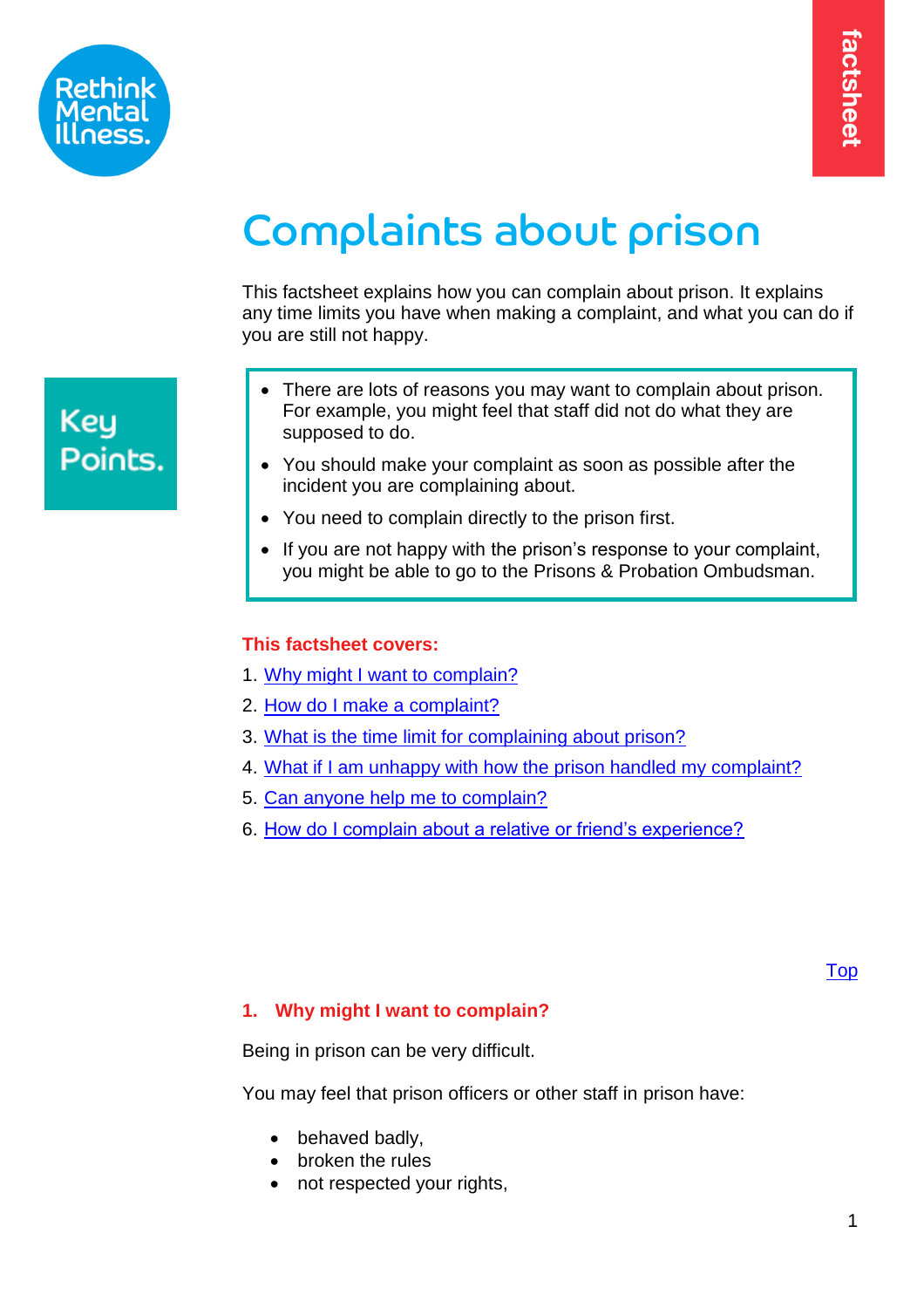



# Complaints about prison

This factsheet explains how you can complain about prison. It explains any time limits you have when making a complaint, and what you can do if you are still not happy.

- There are lots of reasons you may want to complain about prison. For example, you might feel that staff did not do what they are supposed to do.
- You should make your complaint as soon as possible after the incident you are complaining about.
- You need to complain directly to the prison first.
- If you are not happy with the prison's response to your complaint, you might be able to go to the Prisons & Probation Ombudsman.

# <span id="page-0-1"></span>**This factsheet covers:**

- 1. [Why might I want to complain?](#page-0-0)
- 2. [How do I make a complaint?](#page-1-0)
- 3. [What is the time limit for complaining about prison?](#page-4-0)
- 4. [What if I am unhappy with how the prison handled my complaint?](#page-4-1)
- 5. [Can anyone help me to complain?](#page-5-0)
- 6. [How do I complain about a relative or friend's experience?](#page-6-0)

# <span id="page-0-0"></span>**1. Why might I want to complain?**

Being in prison can be very difficult.

You may feel that prison officers or other staff in prison have:

- behaved badly,
- broken the rules
- not respected your rights,

# **Key** Points.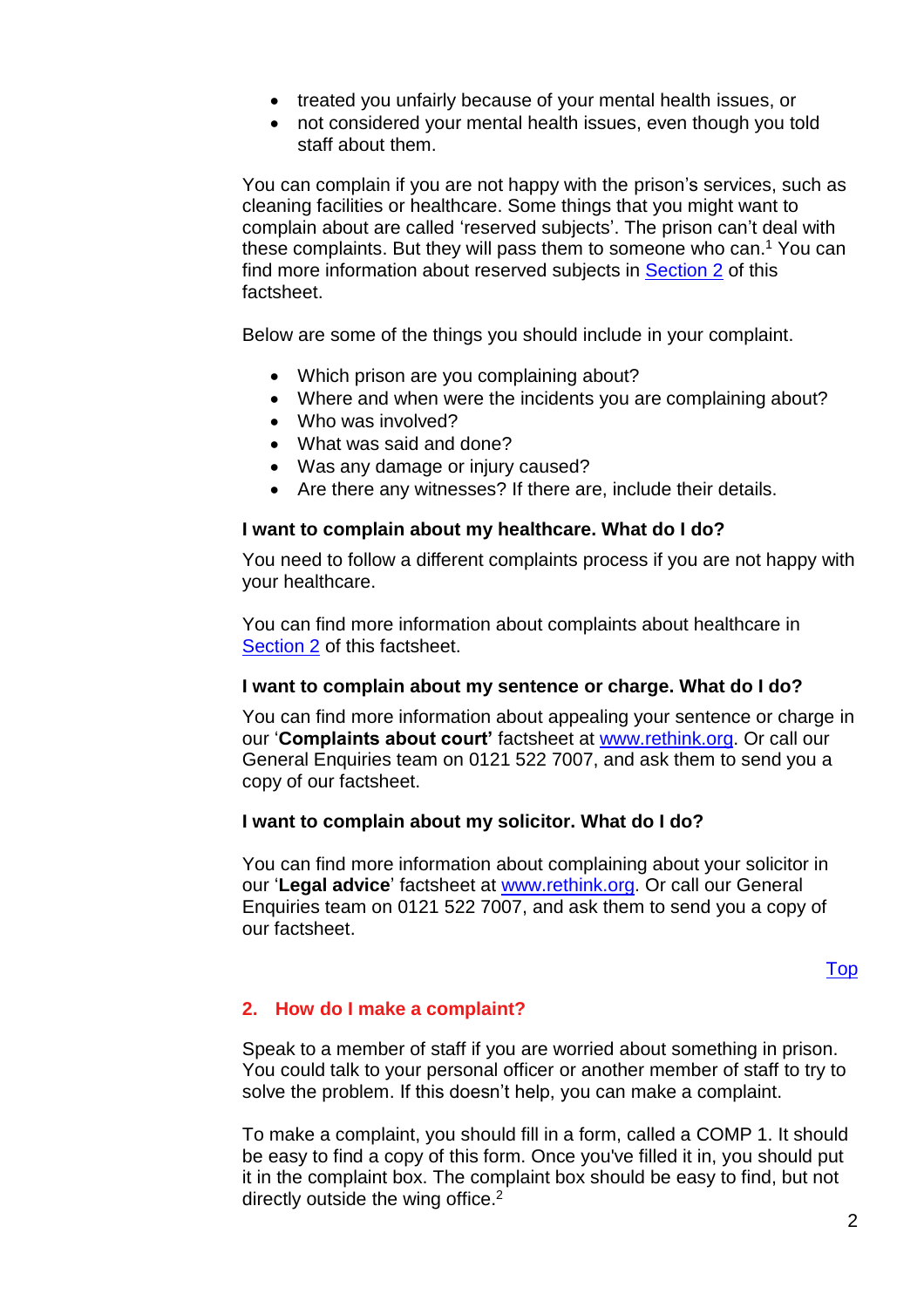- treated you unfairly because of your mental health issues, or
- not considered your mental health issues, even though you told staff about them.

You can complain if you are not happy with the prison's services, such as cleaning facilities or healthcare. Some things that you might want to complain about are called 'reserved subjects'. The prison can't deal with these complaints. But they will pass them to someone who can. <sup>1</sup> You can find more information about reserved subjects in [Section 2](#page-3-0) of this factsheet.

Below are some of the things you should include in your complaint.

- Which prison are you complaining about?
- Where and when were the incidents you are complaining about?
- Who was involved?
- What was said and done?
- Was any damage or injury caused?
- Are there any witnesses? If there are, include their details.

#### **I want to complain about my healthcare. What do I do?**

You need to follow a different complaints process if you are not happy with your healthcare.

You can find more information about complaints about healthcare in [Section 2](#page-3-1) of this factsheet.

#### **I want to complain about my sentence or charge. What do I do?**

You can find more information about appealing your sentence or charge in our '**Complaints about court'** factsheet at [www.rethink.org.](http://www.rethink.org/) Or call our General Enquiries team on 0121 522 7007, and ask them to send you a copy of our factsheet.

#### **I want to complain about my solicitor. What do I do?**

You can find more information about complaining about your solicitor in our '**Legal advice**' factsheet at [www.rethink.org.](http://www.rethink.org/) Or call our General Enquiries team on 0121 522 7007, and ask them to send you a copy of our factsheet.

#### [Top](#page-0-1)

#### <span id="page-1-0"></span>**2. How do I make a complaint?**

Speak to a member of staff if you are worried about something in prison. You could talk to your personal officer or another member of staff to try to solve the problem. If this doesn't help, you can make a complaint.

To make a complaint, you should fill in a form, called a COMP 1. It should be easy to find a copy of this form. Once you've filled it in, you should put it in the complaint box. The complaint box should be easy to find, but not directly outside the wing office.<sup>2</sup>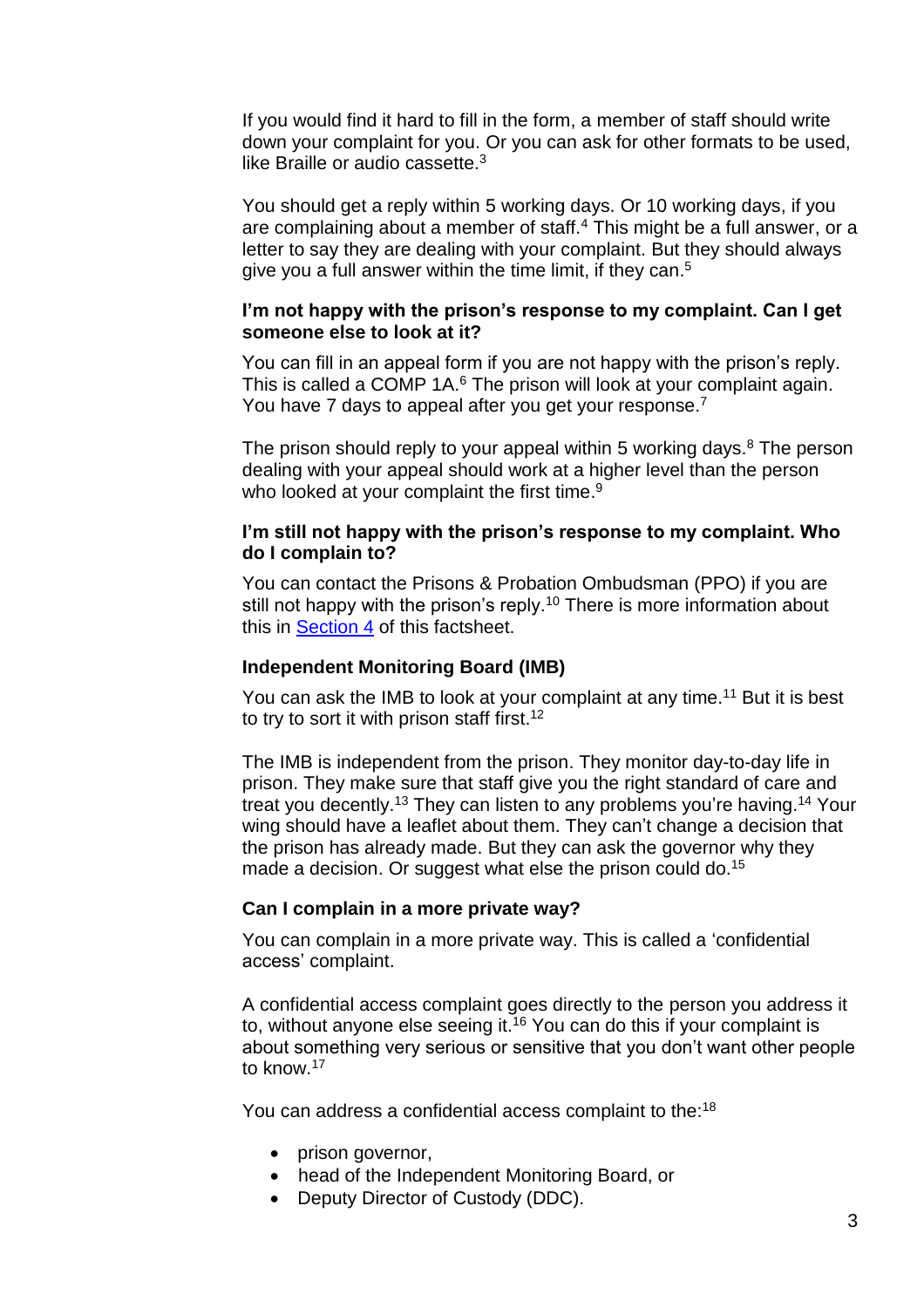If you would find it hard to fill in the form, a member of staff should write down your complaint for you. Or you can ask for other formats to be used, like Braille or audio cassette.<sup>3</sup>

You should get a reply within 5 working days. Or 10 working days, if you are complaining about a member of staff.<sup>4</sup> This might be a full answer, or a letter to say they are dealing with your complaint. But they should always give you a full answer within the time limit, if they can. 5

#### **I'm not happy with the prison's response to my complaint. Can I get someone else to look at it?**

You can fill in an appeal form if you are not happy with the prison's reply. This is called a COMP 1A.<sup>6</sup> The prison will look at your complaint again. You have 7 days to appeal after you get your response.<sup>7</sup>

The prison should reply to your appeal within 5 working days. $8$  The person dealing with your appeal should work at a higher level than the person who looked at your complaint the first time.<sup>9</sup>

#### **I'm still not happy with the prison's response to my complaint. Who do I complain to?**

You can contact the Prisons & Probation Ombudsman (PPO) if you are still not happy with the prison's reply.<sup>10</sup> There is more information about this in [Section 4](#page-4-1) of this factsheet.

#### **Independent Monitoring Board (IMB)**

You can ask the IMB to look at your complaint at any time.<sup>11</sup> But it is best to try to sort it with prison staff first.<sup>12</sup>

The IMB is independent from the prison. They monitor day-to-day life in prison. They make sure that staff give you the right standard of care and treat you decently.<sup>13</sup> They can listen to any problems you're having.<sup>14</sup> Your wing should have a leaflet about them. They can't change a decision that the prison has already made. But they can ask the governor why they made a decision. Or suggest what else the prison could do.<sup>15</sup>

#### **Can I complain in a more private way?**

You can complain in a more private way. This is called a 'confidential access' complaint.

A confidential access complaint goes directly to the person you address it to, without anyone else seeing it.<sup>16</sup> You can do this if your complaint is about something very serious or sensitive that you don't want other people to know.<sup>17</sup>

You can address a confidential access complaint to the:<sup>18</sup>

- prison governor,
- head of the Independent Monitoring Board, or
- Deputy Director of Custody (DDC).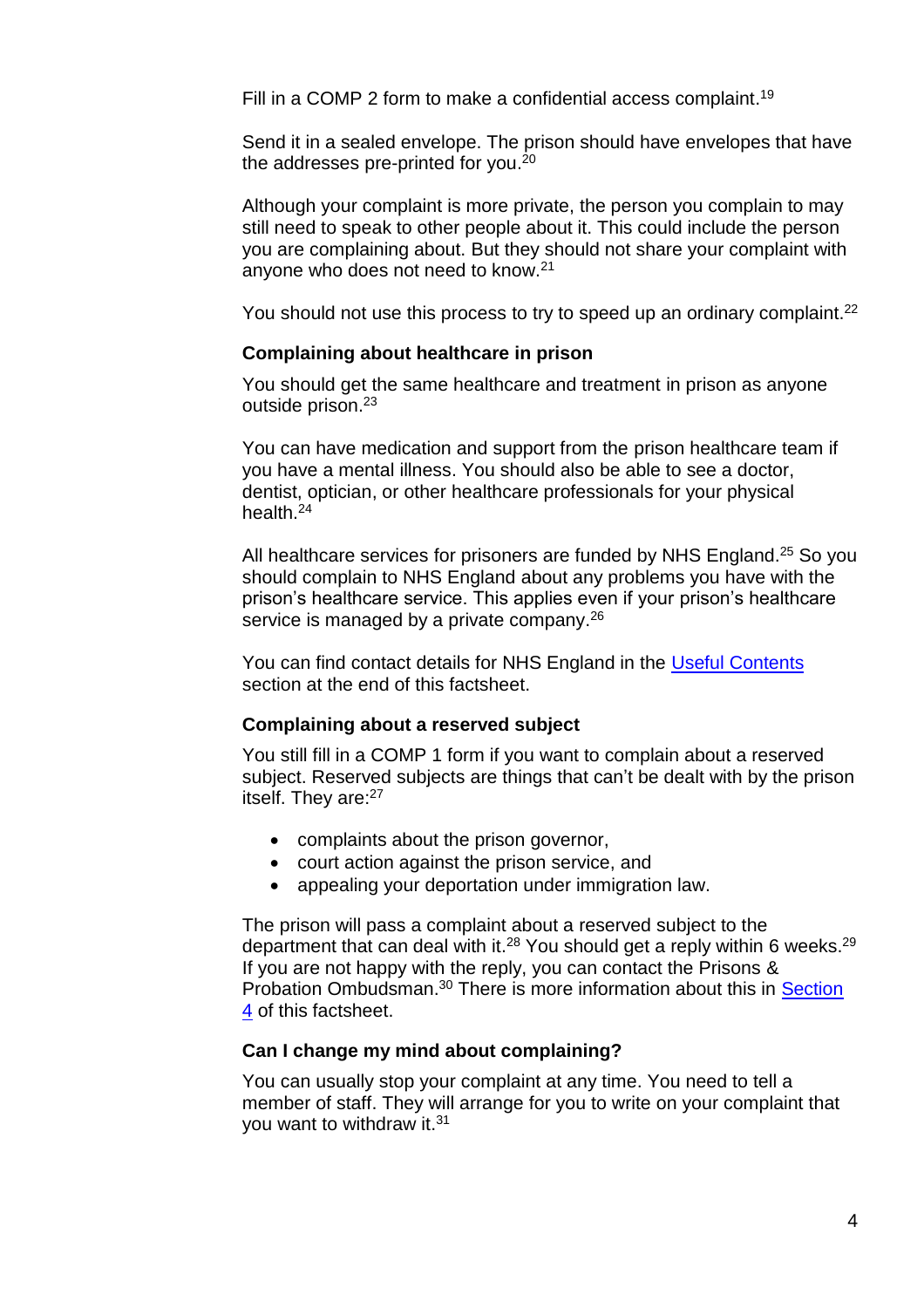Fill in a COMP 2 form to make a confidential access complaint.<sup>19</sup>

Send it in a sealed envelope. The prison should have envelopes that have the addresses pre-printed for you. $^{\mathrm{20}}$ 

Although your complaint is more private, the person you complain to may still need to speak to other people about it. This could include the person you are complaining about. But they should not share your complaint with anyone who does not need to know.<sup>21</sup>

You should not use this process to try to speed up an ordinary complaint.<sup>22</sup>

#### <span id="page-3-1"></span>**Complaining about healthcare in prison**

You should get the same healthcare and treatment in prison as anyone outside prison.<sup>23</sup>

You can have medication and support from the prison healthcare team if you have a mental illness. You should also be able to see a doctor, dentist, optician, or other healthcare professionals for your physical health.<sup>24</sup>

All healthcare services for prisoners are funded by NHS England.<sup>25</sup> So you should complain to NHS England about any problems you have with the prison's healthcare service. This applies even if your prison's healthcare service is managed by a private company.<sup>26</sup>

You can find contact details for NHS England in the [Useful Contents](#page-7-0) section at the end of this factsheet.

#### <span id="page-3-0"></span>**Complaining about a reserved subject**

You still fill in a COMP 1 form if you want to complain about a reserved subject. Reserved subjects are things that can't be dealt with by the prison itself. They are:<sup>27</sup>

- complaints about the prison governor,
- court action against the prison service, and
- appealing your deportation under immigration law.

The prison will pass a complaint about a reserved subject to the department that can deal with it.<sup>28</sup> You should get a reply within 6 weeks.<sup>29</sup> If you are not happy with the reply, you can contact the Prisons & Probation Ombudsman.<sup>30</sup> There is more information about this in **Section** [4](#page-4-1) of this factsheet.

#### **Can I change my mind about complaining?**

You can usually stop your complaint at any time. You need to tell a member of staff. They will arrange for you to write on your complaint that you want to withdraw it.<sup>31</sup>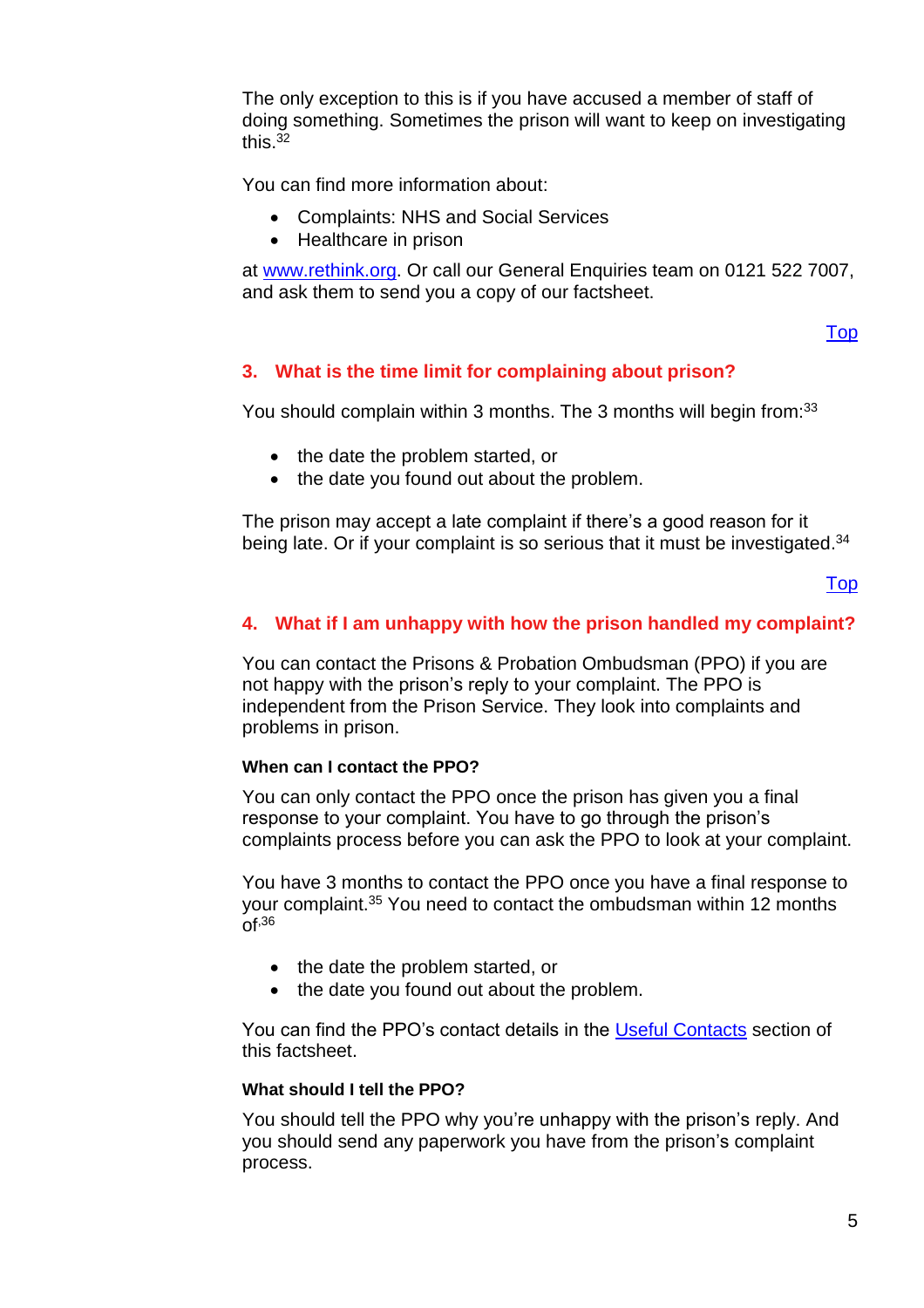The only exception to this is if you have accused a member of staff of doing something. Sometimes the prison will want to keep on investigating this. $32$ 

You can find more information about:

- Complaints: NHS and Social Services
- Healthcare in prison

at [www.rethink.org.](http://www.rethink.org/) Or call our General Enquiries team on 0121 522 7007, and ask them to send you a copy of our factsheet.

#### [Top](#page-0-1)

#### <span id="page-4-0"></span>**3. What is the time limit for complaining about prison?**

You should complain within 3 months. The 3 months will begin from:<sup>33</sup>

- the date the problem started, or
- the date you found out about the problem.

The prison may accept a late complaint if there's a good reason for it being late. Or if your complaint is so serious that it must be investigated.<sup>34</sup>

#### [Top](#page-0-1)

#### <span id="page-4-1"></span>**4. What if I am unhappy with how the prison handled my complaint?**

You can contact the Prisons & Probation Ombudsman (PPO) if you are not happy with the prison's reply to your complaint. The PPO is independent from the Prison Service. They look into complaints and problems in prison.

#### **When can I contact the PPO?**

You can only contact the PPO once the prison has given you a final response to your complaint. You have to go through the prison's complaints process before you can ask the PPO to look at your complaint.

You have 3 months to contact the PPO once you have a final response to your complaint.<sup>35</sup> You need to contact the ombudsman within 12 months  $Of<sup>36</sup>$ 

- the date the problem started, or
- the date you found out about the problem.

You can find the PPO's contact details in the [Useful Contacts](#page-7-0) section of this factsheet.

#### **What should I tell the PPO?**

You should tell the PPO why you're unhappy with the prison's reply. And you should send any paperwork you have from the prison's complaint process.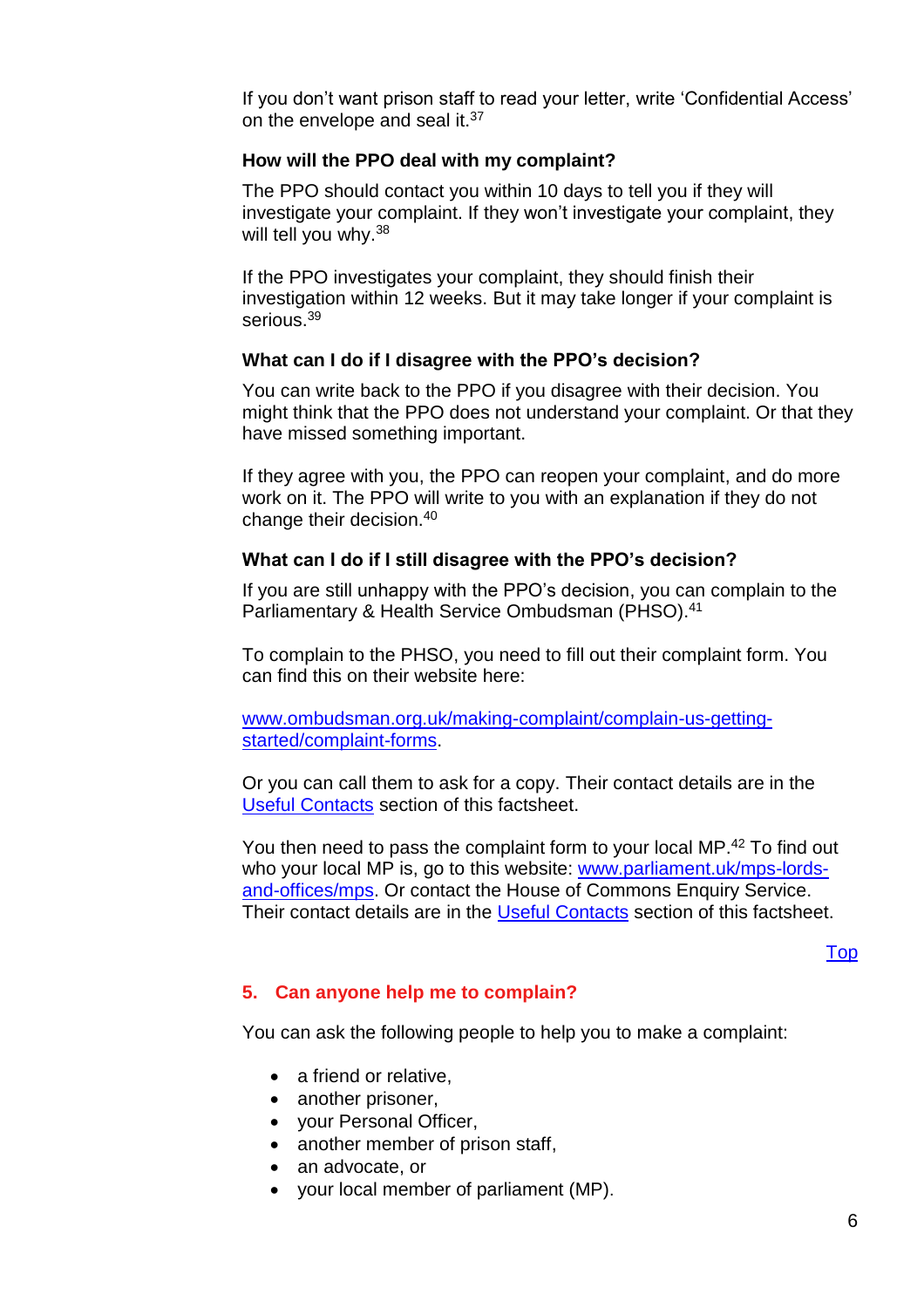If you don't want prison staff to read your letter, write 'Confidential Access' on the envelope and seal it.<sup>37</sup>

#### **How will the PPO deal with my complaint?**

The PPO should contact you within 10 days to tell you if they will investigate your complaint. If they won't investigate your complaint, they will tell you why. 38

If the PPO investigates your complaint, they should finish their investigation within 12 weeks. But it may take longer if your complaint is serious.<sup>39</sup>

#### **What can I do if I disagree with the PPO's decision?**

You can write back to the PPO if you disagree with their decision. You might think that the PPO does not understand your complaint. Or that they have missed something important.

If they agree with you, the PPO can reopen your complaint, and do more work on it. The PPO will write to you with an explanation if they do not change their decision.<sup>40</sup>

#### **What can I do if I still disagree with the PPO's decision?**

If you are still unhappy with the PPO's decision, you can complain to the Parliamentary & Health Service Ombudsman (PHSO).<sup>41</sup>

To complain to the PHSO, you need to fill out their complaint form. You can find this on their website here:

[www.ombudsman.org.uk/making-complaint/complain-us-getting](http://www.ombudsman.org.uk/making-complaint/complain-us-getting-started/complaint-forms)[started/complaint-forms.](http://www.ombudsman.org.uk/making-complaint/complain-us-getting-started/complaint-forms)

Or you can call them to ask for a copy. Their contact details are in the [Useful Contacts](#page-7-0) section of this factsheet.

You then need to pass the complaint form to your local MP.<sup>42</sup> To find out who your local MP is, go to this website: [www.parliament.uk/mps-lords](http://www.parliament.uk/mps-lords-and-offices/mps)[and-offices/mps.](http://www.parliament.uk/mps-lords-and-offices/mps) Or contact the House of Commons Enquiry Service. Their contact details are in the [Useful Contacts](#page-7-0) section of this factsheet.

[Top](#page-0-1)

#### <span id="page-5-0"></span>**5. Can anyone help me to complain?**

You can ask the following people to help you to make a complaint:

- a friend or relative,
- another prisoner,
- your Personal Officer,
- another member of prison staff,
- an advocate, or
- your local member of parliament (MP).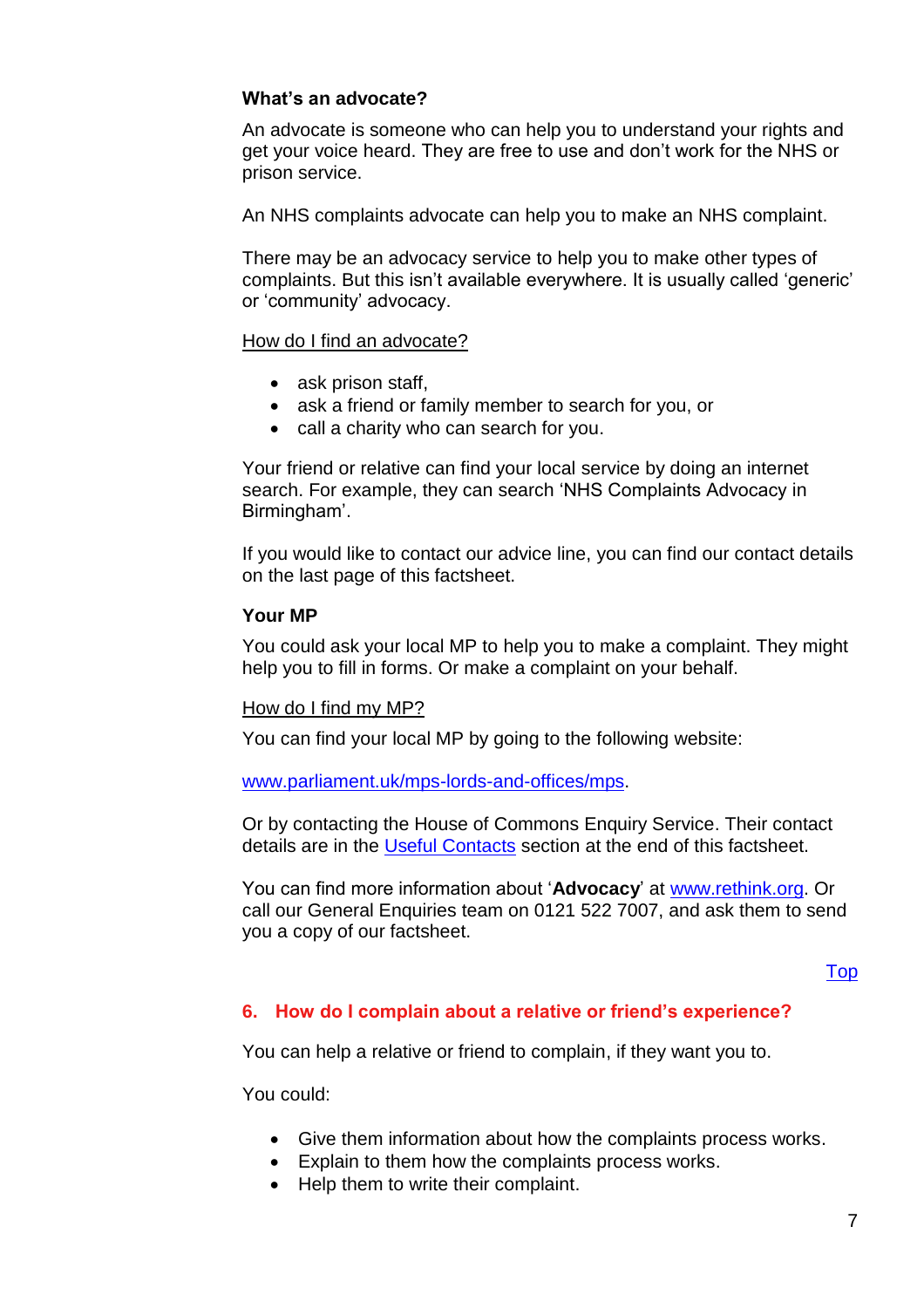#### **What's an advocate?**

An advocate is someone who can help you to understand your rights and get your voice heard. They are free to use and don't work for the NHS or prison service.

An NHS complaints advocate can help you to make an NHS complaint.

There may be an advocacy service to help you to make other types of complaints. But this isn't available everywhere. It is usually called 'generic' or 'community' advocacy.

#### How do I find an advocate?

- ask prison staff,
- ask a friend or family member to search for you, or
- call a charity who can search for you.

Your friend or relative can find your local service by doing an internet search. For example, they can search 'NHS Complaints Advocacy in Birmingham'.

If you would like to contact our advice line, you can find our contact details on the last page of this factsheet.

#### **Your MP**

You could ask your local MP to help you to make a complaint. They might help you to fill in forms. Or make a complaint on your behalf.

#### How do I find my MP?

You can find your local MP by going to the following website:

#### [www.parliament.uk/mps-lords-and-offices/mps.](http://www.parliament.uk/mps-lords-and-offices/mps)

Or by contacting the House of Commons Enquiry Service. Their contact details are in the [Useful Contacts](#page-7-0) section at the end of this factsheet.

You can find more information about '**Advocacy**' at [www.rethink.org.](http://www.rethink.org/) Or call our General Enquiries team on 0121 522 7007, and ask them to send you a copy of our factsheet.

#### [Top](#page-0-1)

#### <span id="page-6-0"></span>**6. How do I complain about a relative or friend's experience?**

You can help a relative or friend to complain, if they want you to.

You could:

- Give them information about how the complaints process works.
- Explain to them how the complaints process works.
- Help them to write their complaint.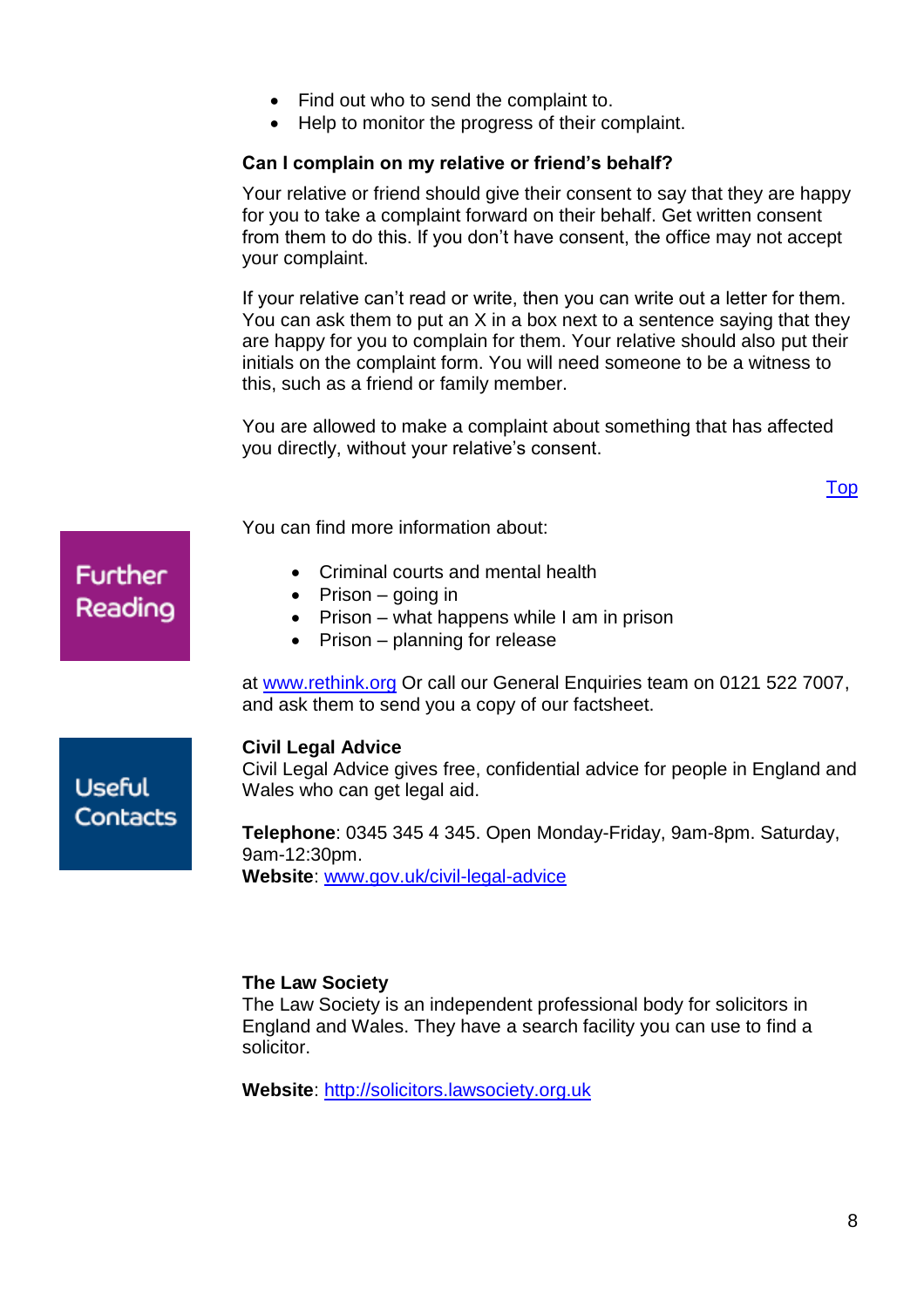- Find out who to send the complaint to.
- Help to monitor the progress of their complaint.

#### **Can I complain on my relative or friend's behalf?**

Your relative or friend should give their consent to say that they are happy for you to take a complaint forward on their behalf. Get written consent from them to do this. If you don't have consent, the office may not accept your complaint.

If your relative can't read or write, then you can write out a letter for them. You can ask them to put an X in a box next to a sentence saying that they are happy for you to complain for them. Your relative should also put their initials on the complaint form. You will need someone to be a witness to this, such as a friend or family member.

You are allowed to make a complaint about something that has affected you directly, without your relative's consent.

[Top](#page-0-1)

You can find more information about:

- Criminal courts and mental health
- Prison  $-$  going in
- Prison what happens while I am in prison
- Prison planning for release

at [www.rethink.org](http://www.rethink.org/) Or call our General Enquiries team on 0121 522 7007, and ask them to send you a copy of our factsheet.

#### <span id="page-7-0"></span>**Civil Legal Advice**

Civil Legal Advice gives free, confidential advice for people in England and Wales who can get legal aid.

**Telephone**: 0345 345 4 345. Open Monday-Friday, 9am-8pm. Saturday, 9am-12:30pm. **Website**: [www.gov.uk/civil-legal-advice](http://www.gov.uk/civil-legal-advice)

#### **The Law Society**

The Law Society is an independent professional body for solicitors in England and Wales. They have a search facility you can use to find a solicitor.

**Website**: [http://solicitors.lawsociety.org.uk](http://solicitors.lawsociety.org.uk/)

# **Further** Reading

**Useful** 

Contacts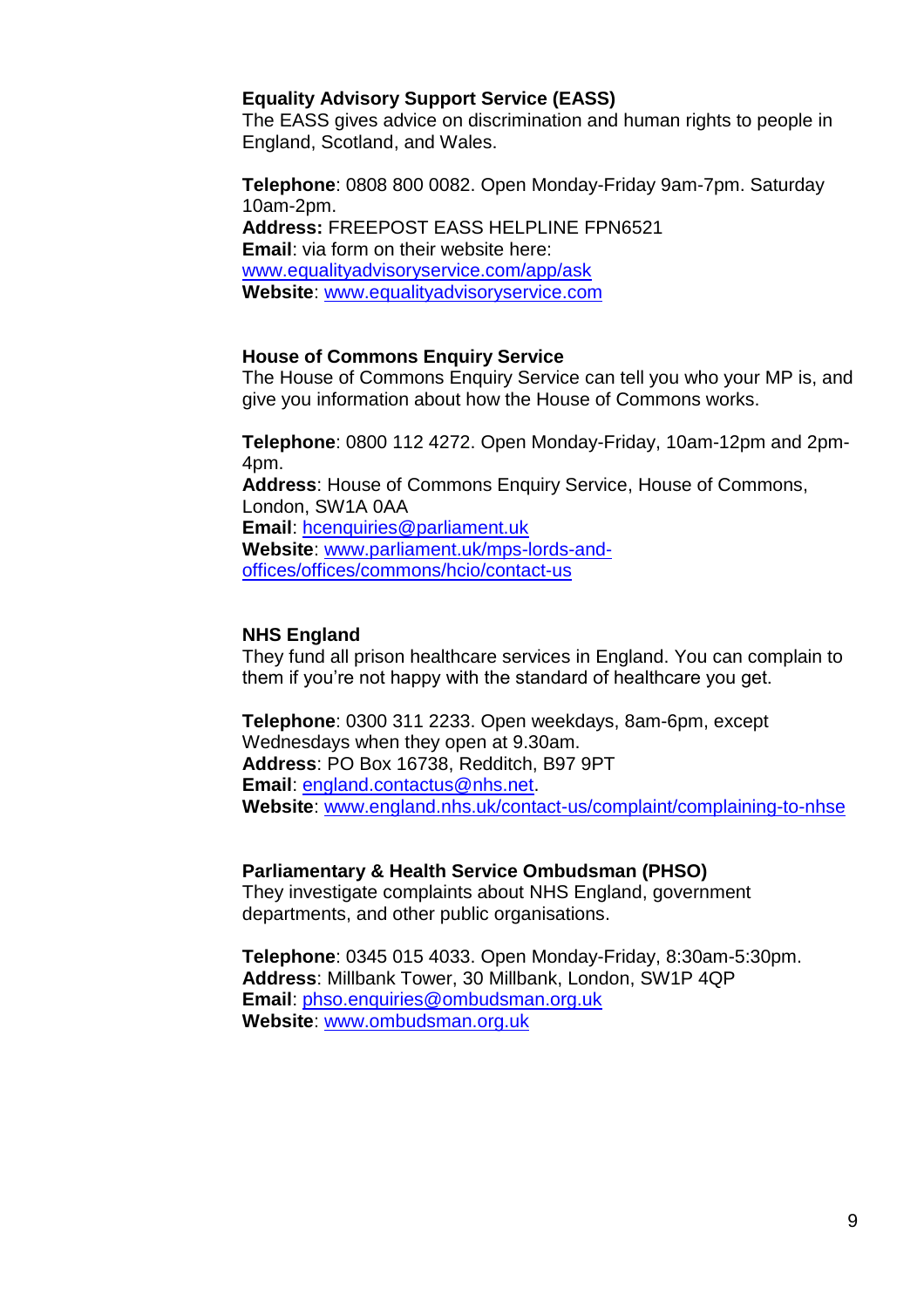#### **Equality Advisory Support Service (EASS)**

The EASS gives advice on discrimination and human rights to people in England, Scotland, and Wales.

**Telephone**: 0808 800 0082. Open Monday-Friday 9am-7pm. Saturday 10am-2pm. **Address:** FREEPOST EASS HELPLINE FPN6521 **Email**: via form on their website here: [www.equalityadvisoryservice.com/app/ask](http://www.equalityadvisoryservice.com/app/ask) **Website**: [www.equalityadvisoryservice.com](http://www.equalityadvisoryservice.com/)

#### **House of Commons Enquiry Service**

The House of Commons Enquiry Service can tell you who your MP is, and give you information about how the House of Commons works.

**Telephone**: 0800 112 4272. Open Monday-Friday, 10am-12pm and 2pm-4pm.

**Address**: House of Commons Enquiry Service, House of Commons, London, SW1A 0AA **Email**: [hcenquiries@parliament.uk](mailto:hcenquiries@parliament.uk) **Website**: [www.parliament.uk/mps-lords-and](http://www.parliament.uk/mps-lords-and-offices/offices/commons/hcio/contact-us)[offices/offices/commons/hcio/contact-us](http://www.parliament.uk/mps-lords-and-offices/offices/commons/hcio/contact-us)

#### **NHS England**

They fund all prison healthcare services in England. You can complain to them if you're not happy with the standard of healthcare you get.

**Telephone**: 0300 311 2233. Open weekdays, 8am-6pm, except Wednesdays when they open at 9.30am. **Address**: PO Box 16738, Redditch, B97 9PT **Email**: [england.contactus@nhs.net.](mailto:england.contactus@nhs.net) **Website**: [www.england.nhs.uk/contact-us/complaint/complaining-to-nhse](http://www.england.nhs.uk/contact-us/complaint/complaining-to-nhse)

#### **Parliamentary & Health Service Ombudsman (PHSO)**

They investigate complaints about NHS England, government departments, and other public organisations.

**Telephone**: 0345 015 4033. Open Monday-Friday, 8:30am-5:30pm. **Address**: Millbank Tower, 30 Millbank, London, SW1P 4QP **Email**: [phso.enquiries@ombudsman.org.uk](mailto:phso.enquiries@ombudsman.org.uk) **Website**: [www.ombudsman.org.uk](http://www.ombudsman.org.uk/)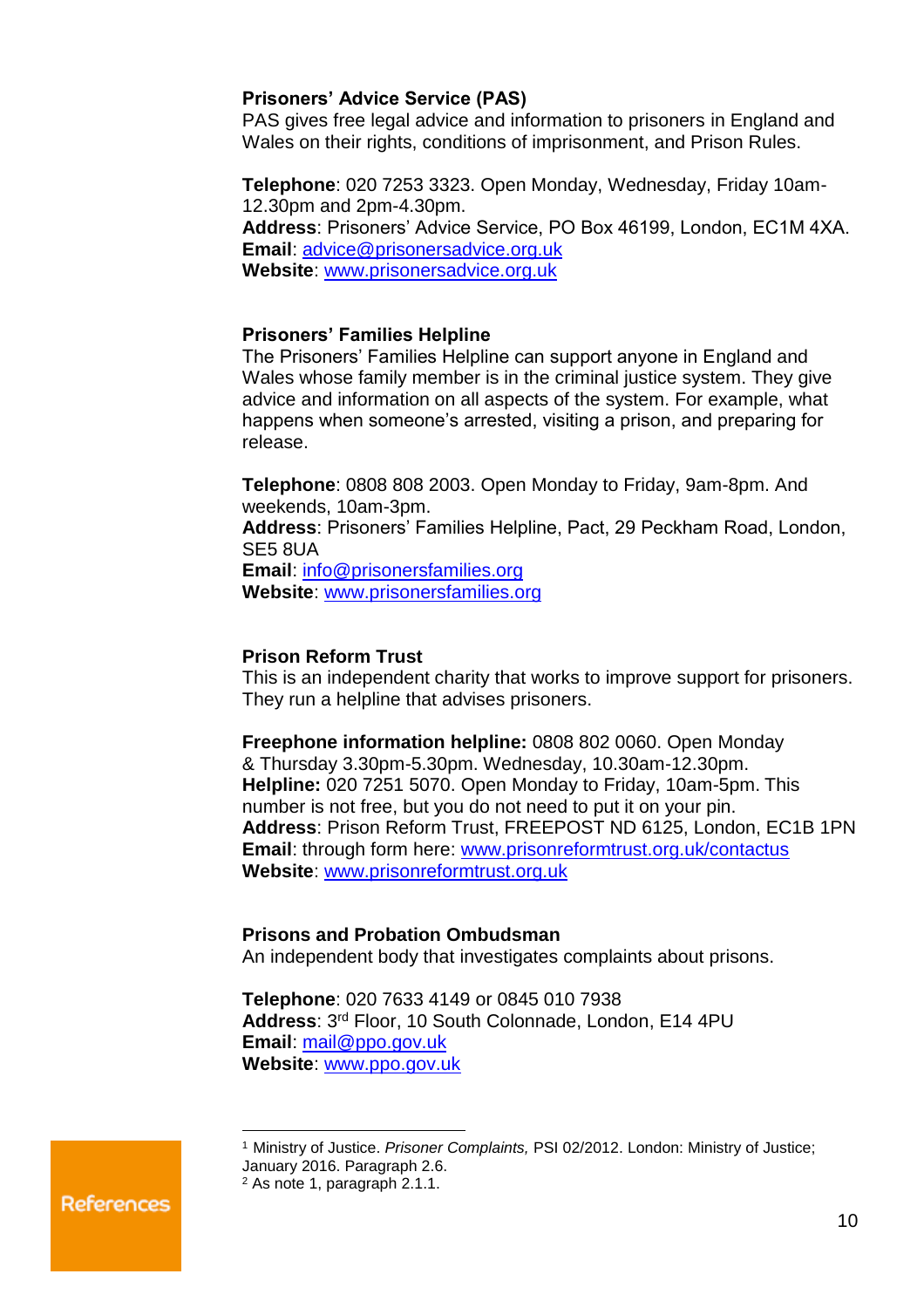#### **Prisoners' Advice Service (PAS)**

PAS gives free legal advice and information to prisoners in England and Wales on their rights, conditions of imprisonment, and Prison Rules.

**Telephone**: 020 7253 3323. Open Monday, Wednesday, Friday 10am-12.30pm and 2pm-4.30pm. **Address**: Prisoners' Advice Service, PO Box 46199, London, EC1M 4XA. **Email**: [advice@prisonersadvice.org.uk](mailto:advice@prisonersadvice.org.uk) **Website**: [www.prisonersadvice.org.uk](http://www.prisonersadvice.org.uk/)

#### **Prisoners' Families Helpline**

The Prisoners' Families Helpline can support anyone in England and Wales whose family member is in the criminal justice system. They give advice and information on all aspects of the system. For example, what happens when someone's arrested, visiting a prison, and preparing for release.

**Telephone**: 0808 808 2003. Open Monday to Friday, 9am-8pm. And weekends, 10am-3pm.

**Address**: Prisoners' Families Helpline, Pact, 29 Peckham Road, London, SE5 8UA

**Email**: [info@prisonersfamilies.org](mailto:info@prisonersfamilies.org) **Website**: [www.prisonersfamilies.org](http://www.prisonersfamilies.org/)

#### **Prison Reform Trust**

This is an independent charity that works to improve support for prisoners. They run a helpline that advises prisoners.

**Freephone information helpline:** 0808 802 0060. Open Monday & Thursday 3.30pm-5.30pm. Wednesday, 10.30am-12.30pm. **Helpline:** 020 7251 5070. Open Monday to Friday, 10am-5pm. This number is not free, but you do not need to put it on your pin. **Address**: Prison Reform Trust, FREEPOST ND 6125, London, EC1B 1PN **Email**: through form here: [www.prisonreformtrust.org.uk/contactus](http://www.prisonreformtrust.org.uk/contactus) **Website**: [www.prisonreformtrust.org.uk](http://www.prisonreformtrust.org.uk/)

#### **Prisons and Probation Ombudsman**

An independent body that investigates complaints about prisons.

**Telephone**: 020 7633 4149 or 0845 010 7938 **Address**: 3 rd Floor, 10 South Colonnade, London, E14 4PU **Email**: [mail@ppo.gov.uk](mailto:mail@ppo.gov.uk) **Website**: [www.ppo.gov.uk](http://www.ppo.gov.uk/)

References

<sup>1</sup> Ministry of Justice. *Prisoner Complaints,* PSI 02/2012. London: Ministry of Justice;

January 2016. Paragraph 2.6.

<sup>2</sup> As note 1, paragraph 2.1.1.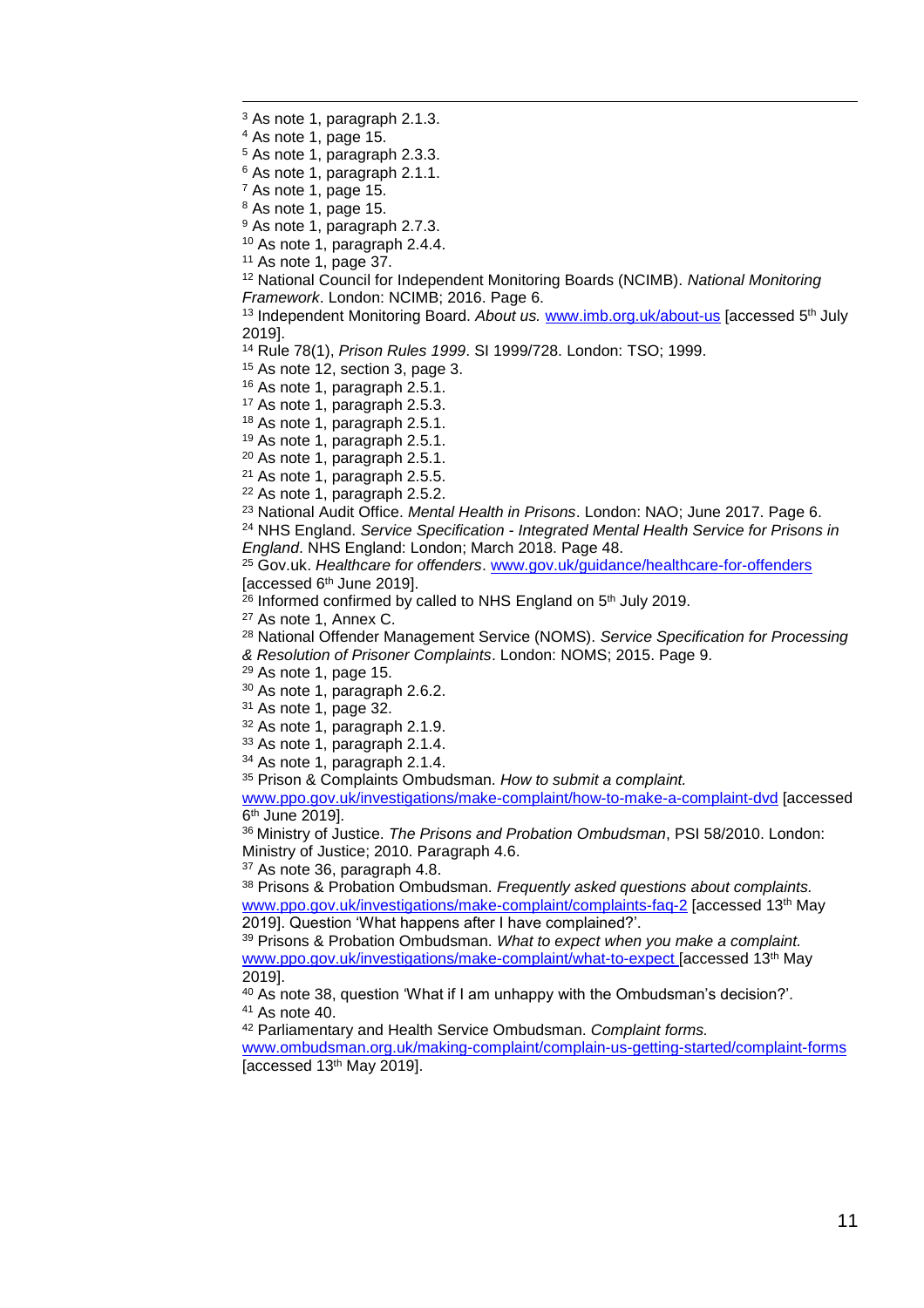As note 1, paragraph 2.1.3.

As note 1, page 15.

 $\overline{a}$ 

As note 1, paragraph 2.3.3.

As note 1, paragraph 2.1.1.

As note 1, page 15.

As note 1, page 15.

<sup>9</sup> As note 1, paragraph 2.7.3.

As note 1, paragraph 2.4.4.

As note 1, page 37.

 National Council for Independent Monitoring Boards (NCIMB). *National Monitoring Framework*. London: NCIMB; 2016. Page 6.

<sup>13</sup> Independent Monitoring Board. *About us.* <u>[www.imb.org.uk/about-us](http://www.imb.org.uk/about-us)</u> [accessed 5<sup>th</sup> July 2019].

Rule 78(1), *Prison Rules 1999*. SI 1999/728. London: TSO; 1999.

As note 12, section 3, page 3.

As note 1, paragraph 2.5.1.

As note 1, paragraph 2.5.3.

As note 1, paragraph 2.5.1.

As note 1, paragraph 2.5.1.

As note 1, paragraph 2.5.1.

As note 1, paragraph 2.5.5.

As note 1, paragraph 2.5.2.

National Audit Office. *Mental Health in Prisons*. London: NAO; June 2017. Page 6.

 NHS England. *Service Specification - Integrated Mental Health Service for Prisons in England*. NHS England: London; March 2018. Page 48.

 Gov.uk. *Healthcare for offenders*. [www.gov.uk/guidance/healthcare-for-offenders](https://www.gov.uk/guidance/healthcare-for-offenders) [accessed 6th June 2019].

<sup>26</sup> Informed confirmed by called to NHS England on 5<sup>th</sup> July 2019.

As note 1, Annex C.

National Offender Management Service (NOMS). *Service Specification for Processing* 

*& Resolution of Prisoner Complaints*. London: NOMS; 2015. Page 9.

As note 1, page 15.

As note 1, paragraph 2.6.2.

As note 1, page 32.

As note 1, paragraph 2.1.9.

As note 1, paragraph 2.1.4.

As note 1, paragraph 2.1.4.

Prison & Complaints Ombudsman. *How to submit a complaint.* 

[www.ppo.gov.uk/investigations/make-complaint/how-to-make-a-complaint-dvd](http://www.ppo.gov.uk/investigations/make-complaint/how-to-make-a-complaint-dvd) [accessed 6<sup>th</sup> June 2019].

 Ministry of Justice. *The Prisons and Probation Ombudsman*, PSI 58/2010. London: Ministry of Justice; 2010. Paragraph 4.6.

As note 36, paragraph 4.8.

 Prisons & Probation Ombudsman. *Frequently asked questions about complaints.*  [www.ppo.gov.uk/investigations/make-complaint/complaints-faq-2](http://www.ppo.gov.uk/investigations/make-complaint/complaints-faq-2/) [accessed 13<sup>th</sup> May 2019]. Question 'What happens after I have complained?'.

 Prisons & Probation Ombudsman. *What to expect when you make a complaint.*  [www.ppo.gov.uk/investigations/make-complaint/what-to-expect](http://www.ppo.gov.uk/investigations/make-complaint/what-to-expect) [accessed 13<sup>th</sup> May 2019].

 As note 38, question 'What if I am unhappy with the Ombudsman's decision?'. As note 40.

Parliamentary and Health Service Ombudsman. *Complaint forms.*

[www.ombudsman.org.uk/making-complaint/complain-us-getting-started/complaint-forms](http://www.ombudsman.org.uk/making-complaint/complain-us-getting-started/complaint-forms) [accessed 13th May 2019].